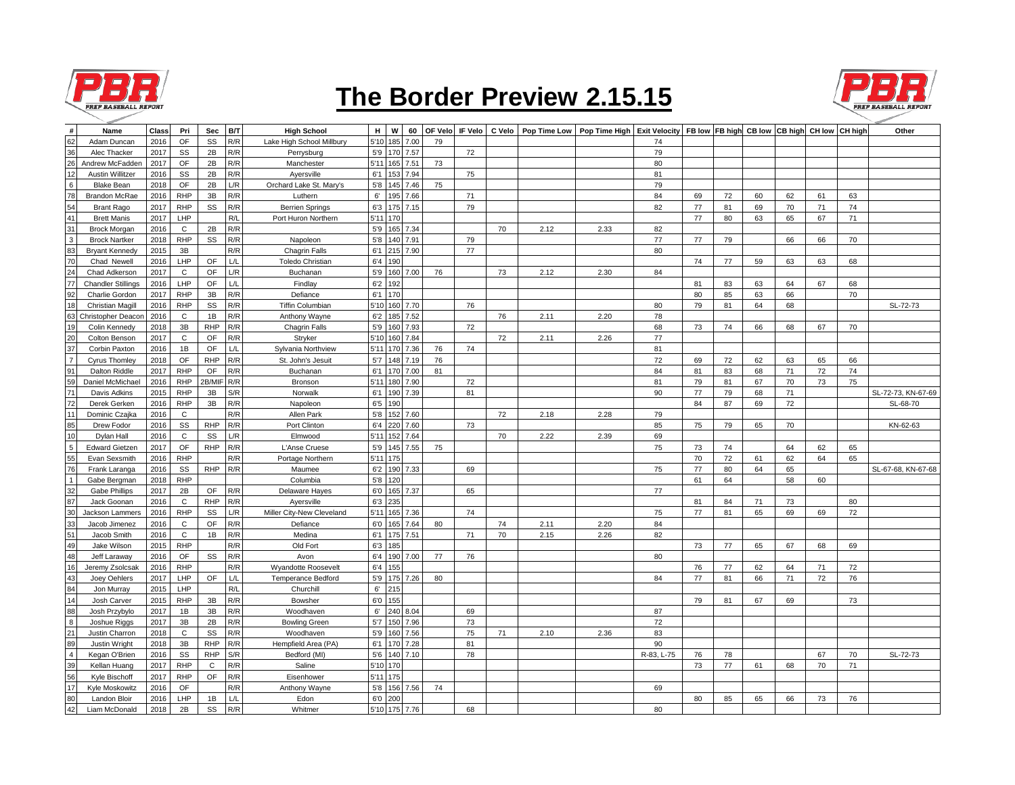

## **The Border Preview 2.15.15**



| #               | Name                      | Class | Pri           | Sec        | B/T | <b>High School</b>        | н<br>5'10    | W             | 60       | OF Velo | IF Velo | C Velo |      | Pop Time Low   Pop Time High   Exit Velocity   FB Iow   FB high CB Iow   CB high CH Iow   CH high |            |    |    |    |    |    |    | Other              |
|-----------------|---------------------------|-------|---------------|------------|-----|---------------------------|--------------|---------------|----------|---------|---------|--------|------|---------------------------------------------------------------------------------------------------|------------|----|----|----|----|----|----|--------------------|
| 62              | Adam Duncan               | 2016  | OF            | SS         | R/R | Lake High School Millbury |              | 185           | 7.00     | 79      |         |        |      |                                                                                                   | 74         |    |    |    |    |    |    |                    |
| 36              | Alec Thacker              | 2017  | SS            | 2B         | R/R | Perrysburg                | 5'9          |               | 170 7.57 |         | 72      |        |      |                                                                                                   | 79         |    |    |    |    |    |    |                    |
| 26              | Andrew McFadden           | 2017  | OF            | 2B         | R/R | Manchester                | 5'11         |               | 165 7.51 | 73      |         |        |      |                                                                                                   | 80         |    |    |    |    |    |    |                    |
| 12              | Austin Willitzer          | 2016  | SS            | 2B         | R/R | Ayersville                | 6'1          |               | 153 7.94 |         | 75      |        |      |                                                                                                   | 81         |    |    |    |    |    |    |                    |
| $\,6\,$         | <b>Blake Bean</b>         | 2018  | OF            | 2B         | L/R | Orchard Lake St. Mary's   | 5'8          |               | 145 7.46 | 75      |         |        |      |                                                                                                   | 79         |    |    |    |    |    |    |                    |
| 78              | <b>Brandon McRae</b>      | 2016  | <b>RHP</b>    | 3B         | R/R | Luthern                   | $6^\circ$    |               | 195 7.66 |         | 71      |        |      |                                                                                                   | 84         | 69 | 72 | 60 | 62 | 61 | 63 |                    |
| $\frac{54}{41}$ | <b>Brant Rago</b>         | 2017  | <b>RHP</b>    | SS         | R/R | <b>Berrien Springs</b>    | 6'3          |               | 175 7.15 |         | 79      |        |      |                                                                                                   | 82         | 77 | 81 | 69 | 70 | 71 | 74 |                    |
|                 | <b>Brett Manis</b>        | 2017  | LHP           |            | R/L | Port Huron Northern       | 5'11         | 170           |          |         |         |        |      |                                                                                                   |            | 77 | 80 | 63 | 65 | 67 | 71 |                    |
| 31              | <b>Brock Morgan</b>       | 2016  | C             | 2B         | R/R |                           | 5'9          |               | 165 7.34 |         |         | 70     | 2.12 | 2.33                                                                                              | 82         |    |    |    |    |    |    |                    |
| $\mathsf 3$     | <b>Brock Nartker</b>      | 2018  | <b>RHP</b>    | SS         | R/R | Napoleon                  | $5'8$        |               | 140 7.91 |         | 79      |        |      |                                                                                                   | 77         | 77 | 79 |    | 66 | 66 | 70 |                    |
| 83              | <b>Bryant Kennedy</b>     | 2015  | 3B            |            | R/R | <b>Chagrin Falls</b>      | 6'1          |               | 215 7.90 |         | 77      |        |      |                                                                                                   | 80         |    |    |    |    |    |    |                    |
| 70              | Chad Newell               | 2016  | LHP           | OF         | L/L | <b>Toledo Christian</b>   | 6'4          | 190           |          |         |         |        |      |                                                                                                   |            | 74 | 77 | 59 | 63 | 63 | 68 |                    |
| 24              | Chad Adkerson             | 2017  | $\mathbf C$   | OF         | L/R | Buchanan                  | 5'9          |               | 160 7.00 | 76      |         | 73     | 2.12 | 2.30                                                                                              | 84         |    |    |    |    |    |    |                    |
| 77              | <b>Chandler Stillings</b> | 2016  | LHP           | OF         | L/L | Findlay                   | 6'2          | 192           |          |         |         |        |      |                                                                                                   |            | 81 | 83 | 63 | 64 | 67 | 68 |                    |
| 92              | <b>Charlie Gordon</b>     | 2017  | <b>RHP</b>    | 3B         | R/R | Defiance                  | 6'1          | 170           |          |         |         |        |      |                                                                                                   |            | 80 | 85 | 63 | 66 |    | 70 |                    |
| 18              | <b>Christian Magill</b>   | 2016  | <b>RHP</b>    | SS         | R/R | <b>Tiffin Columbian</b>   | 5'10         |               | 160 7.70 |         | 76      |        |      |                                                                                                   | 80         | 79 | 81 | 64 | 68 |    |    | SL-72-73           |
|                 | Christopher Deacon        | 2016  | C             | 1B         | R/R | Anthony Wayne             | 6'2          |               | 185 7.52 |         |         | 76     | 2.11 | 2.20                                                                                              | 78         |    |    |    |    |    |    |                    |
| 19              | Colin Kennedy             | 2018  | 3B            | <b>RHP</b> | R/R | Chagrin Falls             | 5'9          |               | 160 7.93 |         | 72      |        |      |                                                                                                   | 68         | 73 | 74 | 66 | 68 | 67 | 70 |                    |
| 20              | Colton Benson             | 2017  | C             | <b>OF</b>  | R/R | Stryker                   | 5'10         |               | 160 7.84 |         |         | 72     | 2.11 | 2.26                                                                                              | 77         |    |    |    |    |    |    |                    |
| 37              | Corbin Paxton             | 2016  | 1B            | OF         | L/L | Sylvania Northview        | 5'11         | 170           | 7.36     | 76      | 74      |        |      |                                                                                                   | 81         |    |    |    |    |    |    |                    |
| $\overline{7}$  | Cyrus Thomley             | 2018  | OF            | <b>RHP</b> | R/R | St. John's Jesuit         | 5'7          |               | 148 7.19 | 76      |         |        |      |                                                                                                   | 72         | 69 | 72 | 62 | 63 | 65 | 66 |                    |
| 91              | <b>Dalton Riddle</b>      | 2017  | <b>RHP</b>    | OF         | R/R | Buchanan                  | 6'1          |               | 170 7.00 | 81      |         |        |      |                                                                                                   | 84         | 81 | 83 | 68 | 71 | 72 | 74 |                    |
| 59              | Daniel McMichae           | 2016  | <b>RHP</b>    | 2B/MIF     | R/R | Bronson                   | 5'11         |               | 180 7.90 |         | 72      |        |      |                                                                                                   | 81         | 79 | 81 | 67 | 70 | 73 | 75 |                    |
| 71              | Davis Adkins              | 2015  | <b>RHP</b>    | 3B         | S/R | Norwalk                   | 6'1          |               | 190 7.39 |         | 81      |        |      |                                                                                                   | 90         | 77 | 79 | 68 | 71 |    |    | SL-72-73, KN-67-69 |
| 72              | Derek Gerken              | 2016  | <b>RHP</b>    | 3B         | R/R | Napoleon                  | 6'5          | 190           |          |         |         |        |      |                                                                                                   |            | 84 | 87 | 69 | 72 |    |    | SL-68-70           |
| 11              | Dominic Czajka            | 2016  | C             |            | R/R | Allen Park                | $5'8$        |               | 152 7.60 |         |         | 72     | 2.18 | 2.28                                                                                              | 79         |    |    |    |    |    |    |                    |
| 85              | Drew Fodor                | 2016  | SS            | <b>RHP</b> | R/R | Port Clinton              | 6'4          | 220 l         | 7.60     |         | 73      |        |      |                                                                                                   | 85         | 75 | 79 | 65 | 70 |    |    | KN-62-63           |
| 10              | Dylan Hall                | 2016  | $\mathsf{C}$  | SS         | L/R | Elmwood                   | 5'11         |               | 152 7.64 |         |         | 70     | 2.22 | 2.39                                                                                              | 69         |    |    |    |    |    |    |                    |
| $5\phantom{a}$  | <b>Edward Gietzen</b>     | 2017  | OF            | <b>RHP</b> | R/R | L'Anse Cruese             | 5'9          |               | 145 7.55 | 75      |         |        |      |                                                                                                   | 75         | 73 | 74 |    | 64 | 62 | 65 |                    |
| 55              | Evan Sexsmith             | 2016  | <b>RHP</b>    |            | R/R | Portage Northern          | 5'11         | 175           |          |         |         |        |      |                                                                                                   |            | 70 | 72 | 61 | 62 | 64 | 65 |                    |
| 76              | Frank Laranga             | 2016  | SS            | <b>RHP</b> | R/R | Maumee                    | 6'2          |               | 190 7.33 |         | 69      |        |      |                                                                                                   | 75         | 77 | 80 | 64 | 65 |    |    | SL-67-68, KN-67-68 |
| $\mathbf{1}$    | Gabe Bergman              | 2018  | <b>RHP</b>    |            |     | Columbia                  | 5'8          | 120           |          |         |         |        |      |                                                                                                   |            | 61 | 64 |    | 58 | 60 |    |                    |
| 32              | <b>Gabe Phillips</b>      | 2017  | 2B            | OF         | R/R | Delaware Hayes            | 6'0          |               | 165 7.37 |         | 65      |        |      |                                                                                                   | 77         |    |    |    |    |    |    |                    |
| 87              | Jack Goonan               | 2016  | $\mathtt{C}$  | <b>RHP</b> | R/R | Ayersville                | 6'3          | 235           |          |         |         |        |      |                                                                                                   |            | 81 | 84 | 71 | 73 |    | 80 |                    |
| 30              | Jackson Lammers           | 2016  | <b>RHP</b>    | SS         | L/R | Miller City-New Cleveland | 5'11         |               | 165 7.36 |         | 74      |        |      |                                                                                                   | 75         | 77 | 81 | 65 | 69 | 69 | 72 |                    |
| 33              | Jacob Jimenez             | 2016  | C             | OF         | R/R | Defiance                  | 6'0          | 165           | 7.64     | 80      |         | 74     | 2.11 | 2.20                                                                                              | 84         |    |    |    |    |    |    |                    |
| 51              | Jacob Smith               | 2016  | C             | 1B         | R/R | Medina                    | 6'1          |               | 175 7.51 |         | 71      | 70     | 2.15 | 2.26                                                                                              | 82         |    |    |    |    |    |    |                    |
| 49              | Jake Wilson               | 2015  | <b>RHP</b>    |            | R/R | Old Fort                  | 6'3          | 185           |          |         |         |        |      |                                                                                                   |            | 73 | 77 | 65 | 67 | 68 | 69 |                    |
| 48              | Jeff Laraway              | 2016  | <b>OF</b>     | SS         | R/R | Avon                      | 6'4          |               | 190 7.00 | 77      | 76      |        |      |                                                                                                   | 80         |    |    |    |    |    |    |                    |
| 16              | Jeremy Zsolcsak           | 2016  | <b>RHP</b>    |            | R/R | Wyandotte Roosevelt       | 6'4          | 155           |          |         |         |        |      |                                                                                                   |            | 76 | 77 | 62 | 64 | 71 | 72 |                    |
| 43              |                           | 2017  | LHP           | OF         | L/L |                           | 5'9          |               | 175 7.26 |         |         |        |      |                                                                                                   | 84         | 77 |    |    |    |    | 76 |                    |
|                 | Joey Oehlers              |       | LHP           |            | R/L | Temperance Bedford        |              |               |          | 80      |         |        |      |                                                                                                   |            |    | 81 | 66 | 71 | 72 |    |                    |
| 84<br>14        | Jon Murray                | 2015  |               |            |     | Churchill                 | 6'           | 215           |          |         |         |        |      |                                                                                                   |            |    |    |    |    |    |    |                    |
|                 | Josh Carver               | 2015  | <b>RHP</b>    | 3B         | R/R | Bowsher                   | 6'0          | 155           |          |         |         |        |      |                                                                                                   |            | 79 | 81 | 67 | 69 |    | 73 |                    |
| 88              | Josh Przybylo             | 2017  | 1B            | 3B         | R/R | Woodhaven                 | $6^\circ$    | 240 8.04      |          |         | 69      |        |      |                                                                                                   | 87         |    |    |    |    |    |    |                    |
| $\bf8$          | Joshue Riggs              | 2017  | $3\mathsf{B}$ | 2B         | R/R | <b>Bowling Green</b>      | 5'7          |               | 150 7.96 |         | 73      |        |      |                                                                                                   | 72         |    |    |    |    |    |    |                    |
| 21              | Justin Charron            | 2018  | $\mathsf{C}$  | SS         | R/R | Woodhaven                 | 5'9          |               | 160 7.56 |         | 75      | 71     | 2.10 | 2.36                                                                                              | 83         |    |    |    |    |    |    |                    |
| 89              | Justin Wright             | 2018  | 3B            | <b>RHP</b> | R/R | Hempfield Area (PA)       | 6'1          |               | 170 7.28 |         | 81      |        |      |                                                                                                   | 90         |    |    |    |    |    |    |                    |
| $\overline{4}$  | Kegan O'Brien             | 2016  | SS            | <b>RHP</b> | S/R | Bedford (MI)              | 5'6          |               | 140 7.10 |         | 78      |        |      |                                                                                                   | R-83, L-75 | 76 | 78 |    |    | 67 | 70 | SL-72-73           |
| 39              | Kellan Huang              | 2017  | <b>RHP</b>    | C          | R/R | Saline                    | 5'10         | 170           |          |         |         |        |      |                                                                                                   |            | 73 | 77 | 61 | 68 | 70 | 71 |                    |
| 56              | Kyle Bischoff             | 2017  | <b>RHP</b>    | OF         | R/R | Eisenhower                | 5'11         | 175           |          |         |         |        |      |                                                                                                   |            |    |    |    |    |    |    |                    |
| 17              | Kyle Moskowitz            | 2016  | OF            |            | R/R | Anthony Wayne             | $5^{\circ}8$ |               | 156 7.56 | 74      |         |        |      |                                                                                                   | 69         |    |    |    |    |    |    |                    |
| 80              | Landon Bloir              | 2016  | LHP           | 1B         | L/L | Edon                      | 6'0          | 200           |          |         |         |        |      |                                                                                                   |            | 80 | 85 | 65 | 66 | 73 | 76 |                    |
| 42              | Liam McDonald             | 2018  | 2B            | SS         | R/R | Whitmer                   |              | 5'10 175 7.76 |          |         | 68      |        |      |                                                                                                   | 80         |    |    |    |    |    |    |                    |